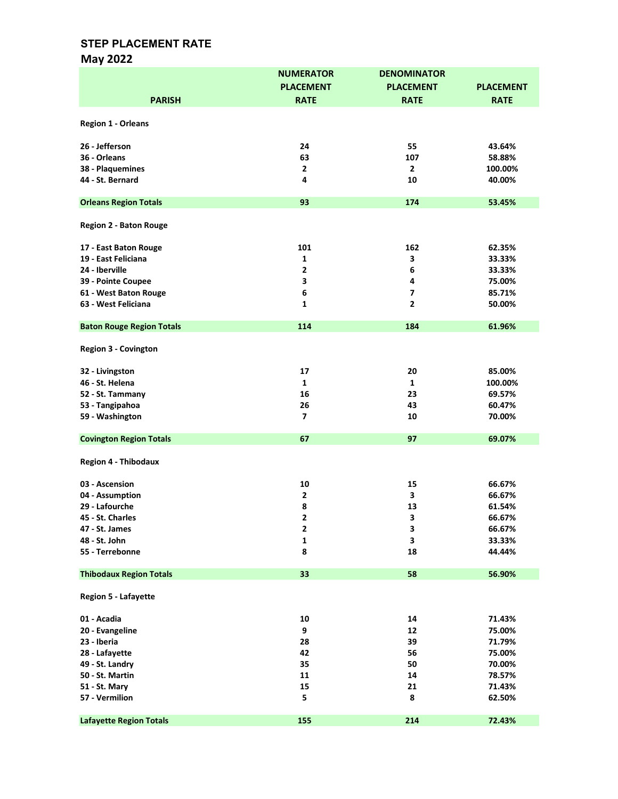# May 2022

|                                  | <b>NUMERATOR</b>         | <b>DENOMINATOR</b> |                  |
|----------------------------------|--------------------------|--------------------|------------------|
|                                  | <b>PLACEMENT</b>         | <b>PLACEMENT</b>   | <b>PLACEMENT</b> |
| <b>PARISH</b>                    | <b>RATE</b>              | <b>RATE</b>        | <b>RATE</b>      |
|                                  |                          |                    |                  |
| <b>Region 1 - Orleans</b>        |                          |                    |                  |
| 26 - Jefferson                   | 24                       | 55                 | 43.64%           |
| 36 - Orleans                     | 63                       | 107                | 58.88%           |
| 38 - Plaquemines                 | $\overline{2}$           | $\overline{2}$     | 100.00%          |
| 44 - St. Bernard                 | 4                        | 10                 | 40.00%           |
|                                  |                          |                    |                  |
| <b>Orleans Region Totals</b>     | 93                       | 174                | 53.45%           |
| <b>Region 2 - Baton Rouge</b>    |                          |                    |                  |
|                                  |                          |                    |                  |
| 17 - East Baton Rouge            | 101                      | 162                | 62.35%           |
| 19 - East Feliciana              | 1                        | 3                  | 33.33%           |
| 24 - Iberville                   | 2                        | 6                  | 33.33%           |
| 39 - Pointe Coupee               | 3                        | 4                  | 75.00%           |
| 61 - West Baton Rouge            | 6                        | $\overline{ }$     | 85.71%           |
| 63 - West Feliciana              | $\mathbf{1}$             | $\overline{2}$     | 50.00%           |
|                                  | 114                      |                    |                  |
| <b>Baton Rouge Region Totals</b> |                          | 184                | 61.96%           |
| <b>Region 3 - Covington</b>      |                          |                    |                  |
| 32 - Livingston                  | 17                       | 20                 | 85.00%           |
| 46 - St. Helena                  | $\mathbf{1}$             | $\mathbf{1}$       | 100.00%          |
| 52 - St. Tammany                 | 16                       | 23                 | 69.57%           |
| 53 - Tangipahoa                  | 26                       | 43                 | 60.47%           |
| 59 - Washington                  | $\overline{\phantom{a}}$ | 10                 | 70.00%           |
|                                  |                          |                    |                  |
| <b>Covington Region Totals</b>   | 67                       | 97                 | 69.07%           |
| <b>Region 4 - Thibodaux</b>      |                          |                    |                  |
| 03 - Ascension                   | 10                       | 15                 | 66.67%           |
| 04 - Assumption                  | $\mathbf{2}$             | 3                  | 66.67%           |
| 29 - Lafourche                   | 8                        | 13                 | 61.54%           |
| 45 - St. Charles                 | 2                        | 3                  | 66.67%           |
| 47 - St. James                   | $\mathbf 2$              | 3                  | 66.67%           |
| 48 - St. John                    | $\mathbf{1}$             | 3                  | 33.33%           |
| 55 - Terrebonne                  | 8                        | 18                 | 44.44%           |
|                                  |                          |                    |                  |
| <b>Thibodaux Region Totals</b>   | 33                       | 58                 | 56.90%           |
| <b>Region 5 - Lafayette</b>      |                          |                    |                  |
| 01 - Acadia                      | 10                       | 14                 | 71.43%           |
| 20 - Evangeline                  | 9                        | 12                 | 75.00%           |
| 23 - Iberia                      | 28                       | 39                 | 71.79%           |
| 28 - Lafayette                   | 42                       | 56                 | 75.00%           |
| 49 - St. Landry                  | 35                       | 50                 | 70.00%           |
| 50 - St. Martin                  | 11                       | 14                 | 78.57%           |
|                                  | 15                       | 21                 | 71.43%           |
| 51 - St. Mary                    | 5                        | 8                  |                  |
| 57 - Vermilion                   |                          |                    | 62.50%           |
| <b>Lafayette Region Totals</b>   | 155                      | 214                | 72.43%           |
|                                  |                          |                    |                  |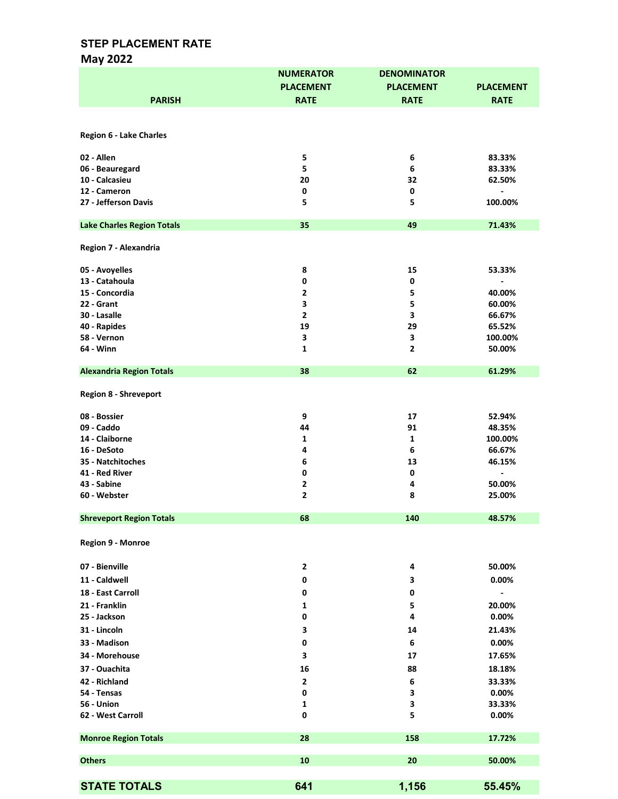# May 2022

| <b>PARISH</b>                     | <b>NUMERATOR</b><br><b>PLACEMENT</b><br><b>RATE</b> | <b>DENOMINATOR</b><br><b>PLACEMENT</b><br><b>RATE</b> | <b>PLACEMENT</b><br><b>RATE</b>        |
|-----------------------------------|-----------------------------------------------------|-------------------------------------------------------|----------------------------------------|
|                                   |                                                     |                                                       |                                        |
| <b>Region 6 - Lake Charles</b>    |                                                     |                                                       |                                        |
|                                   |                                                     |                                                       |                                        |
| 02 - Allen                        | 5                                                   | 6                                                     | 83.33%                                 |
| 06 - Beauregard                   | 5                                                   | 6                                                     | 83.33%                                 |
| 10 - Calcasieu<br>12 - Cameron    | 20<br>0                                             | 32<br>0                                               | 62.50%<br>$\qquad \qquad \blacksquare$ |
| 27 - Jefferson Davis              | 5                                                   | 5                                                     | 100.00%                                |
| <b>Lake Charles Region Totals</b> | 35                                                  | 49                                                    | 71.43%                                 |
| Region 7 - Alexandria             |                                                     |                                                       |                                        |
| 05 - Avoyelles                    | 8                                                   | 15                                                    | 53.33%                                 |
| 13 - Catahoula                    | 0                                                   | 0                                                     |                                        |
| 15 - Concordia                    | $\overline{2}$                                      | 5                                                     | 40.00%                                 |
| 22 - Grant                        | 3                                                   | 5                                                     | 60.00%                                 |
| 30 - Lasalle                      | $\overline{2}$                                      | 3                                                     | 66.67%                                 |
| 40 - Rapides                      | 19                                                  | 29                                                    | 65.52%                                 |
| 58 - Vernon                       | 3                                                   | 3                                                     | 100.00%                                |
| 64 - Winn                         | 1                                                   | $\mathbf{2}$                                          | 50.00%                                 |
| <b>Alexandria Region Totals</b>   | 38                                                  | 62                                                    | 61.29%                                 |
| <b>Region 8 - Shreveport</b>      |                                                     |                                                       |                                        |
| 08 - Bossier                      | 9                                                   | 17                                                    | 52.94%                                 |
| 09 - Caddo                        | 44                                                  | 91                                                    | 48.35%                                 |
| 14 - Claiborne                    | 1                                                   | 1                                                     | 100.00%                                |
| 16 - DeSoto                       | 4                                                   | 6                                                     | 66.67%                                 |
| 35 - Natchitoches                 | 6                                                   | 13                                                    | 46.15%                                 |
| 41 - Red River                    | 0                                                   | 0                                                     | $\qquad \qquad \blacksquare$           |
| 43 - Sabine                       | $\overline{\mathbf{2}}$                             | 4                                                     | 50.00%                                 |
| 60 - Webster                      | $\overline{2}$                                      | 8                                                     | 25.00%                                 |
| <b>Shreveport Region Totals</b>   | 68                                                  | 140                                                   | 48.57%                                 |
| Region 9 - Monroe                 |                                                     |                                                       |                                        |
| 07 - Bienville                    | $\overline{\mathbf{2}}$                             | 4                                                     | 50.00%                                 |
| 11 - Caldwell                     | 0                                                   | 3                                                     | 0.00%                                  |
| 18 - East Carroll                 | 0                                                   | 0                                                     |                                        |
| 21 - Franklin                     | 1                                                   | 5                                                     | 20.00%                                 |
| 25 - Jackson                      | 0                                                   | 4                                                     | 0.00%                                  |
| 31 - Lincoln                      | 3                                                   | 14                                                    | 21.43%                                 |
| 33 - Madison                      | 0                                                   | 6                                                     | 0.00%                                  |
| 34 - Morehouse                    | з                                                   | 17                                                    | 17.65%                                 |
| 37 - Ouachita                     |                                                     |                                                       |                                        |
|                                   | 16                                                  | 88                                                    | 18.18%                                 |
| 42 - Richland<br>54 - Tensas      | $\overline{2}$<br>0                                 | 6<br>3                                                | 33.33%<br>0.00%                        |
| 56 - Union                        | 1                                                   | 3                                                     | 33.33%                                 |
| 62 - West Carroll                 | $\pmb{0}$                                           | 5                                                     | 0.00%                                  |
| <b>Monroe Region Totals</b>       | 28                                                  | 158                                                   | 17.72%                                 |
| <b>Others</b>                     | 10                                                  | 20                                                    | 50.00%                                 |
|                                   |                                                     |                                                       |                                        |
| <b>STATE TOTALS</b>               | 641                                                 | 1,156                                                 | 55.45%                                 |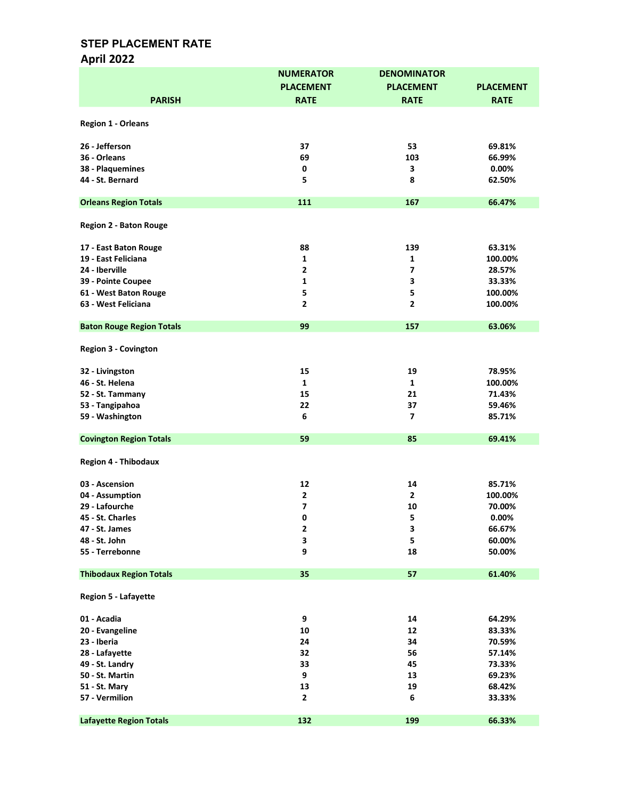# April 2022

|                                  | <b>NUMERATOR</b> | <b>DENOMINATOR</b> |                  |
|----------------------------------|------------------|--------------------|------------------|
|                                  | <b>PLACEMENT</b> | <b>PLACEMENT</b>   | <b>PLACEMENT</b> |
| <b>PARISH</b>                    | <b>RATE</b>      | <b>RATE</b>        | <b>RATE</b>      |
|                                  |                  |                    |                  |
| Region 1 - Orleans               |                  |                    |                  |
| 26 - Jefferson                   | 37               | 53                 | 69.81%           |
| 36 - Orleans                     | 69               | 103                | 66.99%           |
| 38 - Plaquemines                 | $\mathbf 0$      | 3                  | 0.00%            |
|                                  |                  |                    |                  |
| 44 - St. Bernard                 | 5                | 8                  | 62.50%           |
| <b>Orleans Region Totals</b>     | 111              | 167                | 66.47%           |
|                                  |                  |                    |                  |
| <b>Region 2 - Baton Rouge</b>    |                  |                    |                  |
| 17 - East Baton Rouge            | 88               | 139                | 63.31%           |
| 19 - East Feliciana              | 1                | 1                  | 100.00%          |
| 24 - Iberville                   | $\mathbf{2}$     | $\overline{ }$     | 28.57%           |
| 39 - Pointe Coupee               | 1                | 3                  | 33.33%           |
| 61 - West Baton Rouge            | 5                | 5                  | 100.00%          |
|                                  |                  |                    |                  |
| 63 - West Feliciana              | 2                | $\overline{2}$     | 100.00%          |
| <b>Baton Rouge Region Totals</b> | 99               | 157                | 63.06%           |
| <b>Region 3 - Covington</b>      |                  |                    |                  |
| 32 - Livingston                  | 15               | 19                 | 78.95%           |
| 46 - St. Helena                  | $\mathbf{1}$     | $\mathbf{1}$       | 100.00%          |
|                                  | 15               | 21                 | 71.43%           |
| 52 - St. Tammany                 |                  |                    |                  |
| 53 - Tangipahoa                  | 22               | 37                 | 59.46%           |
| 59 - Washington                  | 6                | $\overline{ }$     | 85.71%           |
| <b>Covington Region Totals</b>   | 59               | 85                 | 69.41%           |
| <b>Region 4 - Thibodaux</b>      |                  |                    |                  |
| 03 - Ascension                   | 12               | 14                 | 85.71%           |
| 04 - Assumption                  | $\mathbf{2}$     | $\overline{2}$     | 100.00%          |
| 29 - Lafourche                   | 7                | 10                 | 70.00%           |
| 45 - St. Charles                 | 0                | 5                  | 0.00%            |
| 47 - St. James                   | 2                | 3                  | 66.67%           |
| 48 - St. John                    | 3                | 5                  |                  |
|                                  |                  |                    | 60.00%           |
| 55 - Terrebonne                  | 9                | 18                 | 50.00%           |
| <b>Thibodaux Region Totals</b>   | 35               | 57                 | 61.40%           |
| <b>Region 5 - Lafayette</b>      |                  |                    |                  |
| 01 - Acadia                      | 9                | 14                 | 64.29%           |
| 20 - Evangeline                  | 10               | 12                 | 83.33%           |
| 23 - Iberia                      | 24               | 34                 | 70.59%           |
| 28 - Lafayette                   | 32               | 56                 | 57.14%           |
| 49 - St. Landry                  | 33               | 45                 | 73.33%           |
|                                  |                  |                    |                  |
| 50 - St. Martin                  | 9                | 13                 | 69.23%           |
| 51 - St. Mary                    | 13               | 19                 | 68.42%           |
| 57 - Vermilion                   | $\mathbf{2}$     | 6                  | 33.33%           |
| <b>Lafayette Region Totals</b>   | 132              | 199                | 66.33%           |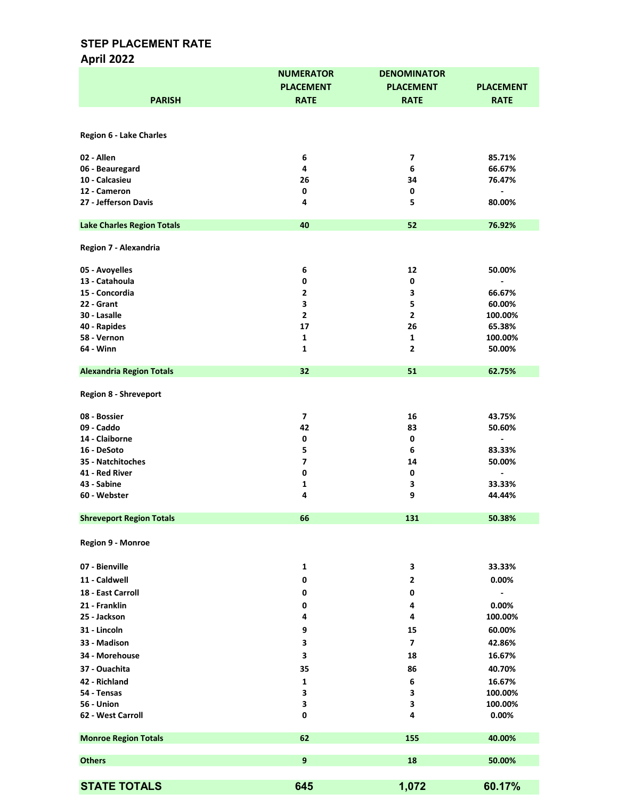# April 2022

|                                   | <b>NUMERATOR</b>    | <b>DENOMINATOR</b>       |                          |
|-----------------------------------|---------------------|--------------------------|--------------------------|
|                                   | <b>PLACEMENT</b>    | <b>PLACEMENT</b>         | <b>PLACEMENT</b>         |
| <b>PARISH</b>                     | <b>RATE</b>         | <b>RATE</b>              | <b>RATE</b>              |
|                                   |                     |                          |                          |
|                                   |                     |                          |                          |
| <b>Region 6 - Lake Charles</b>    |                     |                          |                          |
| 02 - Allen                        | 6                   | $\overline{\phantom{a}}$ | 85.71%                   |
| 06 - Beauregard                   | 4                   | 6                        | 66.67%                   |
| 10 - Calcasieu                    | 26                  | 34                       | 76.47%                   |
| 12 - Cameron                      | $\mathbf 0$         | 0                        | $\blacksquare$           |
| 27 - Jefferson Davis              | 4                   | 5                        | 80.00%                   |
|                                   |                     |                          |                          |
| <b>Lake Charles Region Totals</b> | 40                  | 52                       | 76.92%                   |
|                                   |                     |                          |                          |
| Region 7 - Alexandria             |                     |                          |                          |
|                                   |                     |                          |                          |
| 05 - Avoyelles                    | 6                   | 12                       | 50.00%                   |
| 13 - Catahoula                    | 0                   | 0                        |                          |
| 15 - Concordia                    | $\overline{2}$      | 3                        | 66.67%                   |
| 22 - Grant                        | 3                   | 5                        | 60.00%                   |
| 30 - Lasalle                      | $\mathbf 2$         | $\mathbf{2}$             | 100.00%                  |
| 40 - Rapides                      | 17                  | 26                       | 65.38%                   |
| 58 - Vernon                       | 1                   | 1                        | 100.00%                  |
| 64 - Winn                         | $\mathbf{1}$        | $\mathbf{2}$             | 50.00%                   |
|                                   |                     |                          |                          |
| <b>Alexandria Region Totals</b>   | 32                  | 51                       | 62.75%                   |
| <b>Region 8 - Shreveport</b>      |                     |                          |                          |
|                                   |                     |                          |                          |
| 08 - Bossier                      | 7                   | 16                       | 43.75%                   |
| 09 - Caddo                        | 42                  | 83                       | 50.60%                   |
| 14 - Claiborne                    | 0                   | 0                        |                          |
|                                   |                     |                          |                          |
| 16 - DeSoto                       | 5<br>$\overline{7}$ | 6                        | 83.33%                   |
| 35 - Natchitoches                 |                     | 14                       | 50.00%                   |
| 41 - Red River                    | 0                   | 0                        | $\overline{\phantom{a}}$ |
| 43 - Sabine                       | 1                   | 3                        | 33.33%<br>44.44%         |
| 60 - Webster                      | 4                   | 9                        |                          |
| <b>Shreveport Region Totals</b>   | 66                  | 131                      | 50.38%                   |
|                                   |                     |                          |                          |
| Region 9 - Monroe                 |                     |                          |                          |
|                                   |                     |                          |                          |
| 07 - Bienville                    | $\mathbf{1}$        | 3                        | 33.33%                   |
| 11 - Caldwell                     |                     |                          |                          |
|                                   | 0                   | 2                        | 0.00%                    |
| 18 - East Carroll                 | 0                   | 0                        | $\overline{\phantom{a}}$ |
| 21 - Franklin                     | 0                   | 4                        | 0.00%                    |
| 25 - Jackson                      | 4                   | 4                        | 100.00%                  |
| 31 - Lincoln                      | 9                   | 15                       | 60.00%                   |
| 33 - Madison                      | 3                   | 7                        | 42.86%                   |
| 34 - Morehouse                    | 3                   | 18                       | 16.67%                   |
|                                   |                     |                          |                          |
| 37 - Ouachita                     | 35                  | 86                       | 40.70%                   |
| 42 - Richland                     | 1                   | 6                        | 16.67%                   |
| 54 - Tensas                       | 3                   | 3                        | 100.00%                  |
| 56 - Union                        | 3                   | 3                        | 100.00%                  |
| 62 - West Carroll                 | $\pmb{0}$           | 4                        | 0.00%                    |
|                                   |                     |                          |                          |
| <b>Monroe Region Totals</b>       | 62                  | 155                      | 40.00%                   |
| <b>Others</b>                     | 9                   | 18                       | 50.00%                   |
|                                   |                     |                          |                          |
| <b>STATE TOTALS</b>               | 645                 |                          |                          |
|                                   |                     | 1,072                    | 60.17%                   |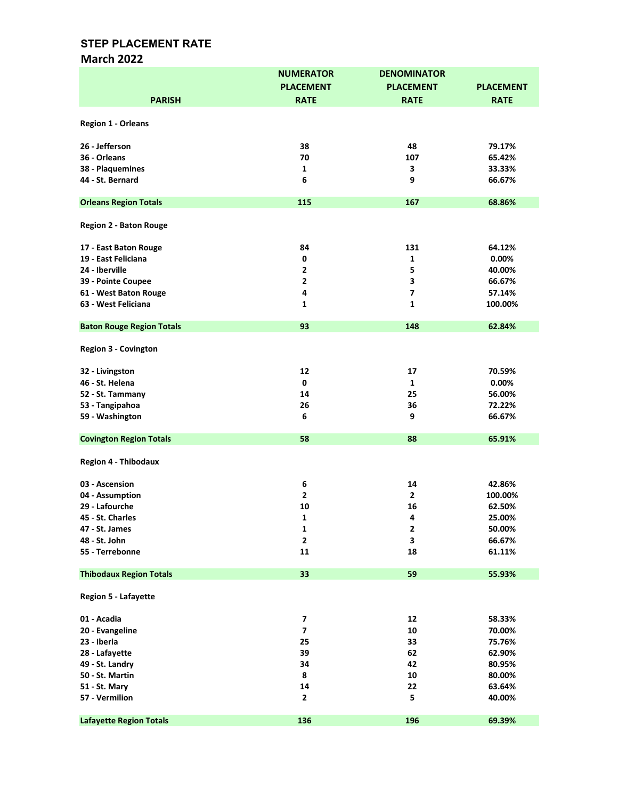### March 2022

|                                  | <b>NUMERATOR</b>        | <b>DENOMINATOR</b> |                  |
|----------------------------------|-------------------------|--------------------|------------------|
|                                  | <b>PLACEMENT</b>        | <b>PLACEMENT</b>   | <b>PLACEMENT</b> |
| <b>PARISH</b>                    | <b>RATE</b>             | <b>RATE</b>        | <b>RATE</b>      |
|                                  |                         |                    |                  |
| <b>Region 1 - Orleans</b>        |                         |                    |                  |
|                                  |                         |                    |                  |
| 26 - Jefferson                   | 38                      | 48                 | 79.17%           |
| 36 - Orleans                     | 70                      | 107                | 65.42%           |
| 38 - Plaquemines                 | $\mathbf{1}$            | 3                  | 33.33%           |
| 44 - St. Bernard                 | 6                       | 9                  | 66.67%           |
| <b>Orleans Region Totals</b>     | 115                     | 167                | 68.86%           |
|                                  |                         |                    |                  |
| <b>Region 2 - Baton Rouge</b>    |                         |                    |                  |
| 17 - East Baton Rouge            | 84                      | 131                | 64.12%           |
| 19 - East Feliciana              | $\mathbf 0$             | 1                  | 0.00%            |
| 24 - Iberville                   | 2                       | 5                  | 40.00%           |
| 39 - Pointe Coupee               | 2                       | 3                  | 66.67%           |
| 61 - West Baton Rouge            | 4                       | $\overline{ }$     | 57.14%           |
|                                  |                         |                    |                  |
| 63 - West Feliciana              | 1                       | 1                  | 100.00%          |
| <b>Baton Rouge Region Totals</b> | 93                      | 148                | 62.84%           |
| <b>Region 3 - Covington</b>      |                         |                    |                  |
| 32 - Livingston                  | 12                      | 17                 | 70.59%           |
| 46 - St. Helena                  | 0                       | $\mathbf{1}$       | 0.00%            |
| 52 - St. Tammany                 | 14                      | 25                 | 56.00%           |
|                                  | 26                      |                    |                  |
| 53 - Tangipahoa                  |                         | 36                 | 72.22%           |
| 59 - Washington                  | 6                       | 9                  | 66.67%           |
| <b>Covington Region Totals</b>   | 58                      | 88                 | 65.91%           |
| <b>Region 4 - Thibodaux</b>      |                         |                    |                  |
| 03 - Ascension                   | 6                       | 14                 | 42.86%           |
| 04 - Assumption                  | $\overline{2}$          | $\overline{2}$     | 100.00%          |
| 29 - Lafourche                   | 10                      | 16                 | 62.50%           |
| 45 - St. Charles                 | 1                       | 4                  | 25.00%           |
| 47 - St. James                   |                         | $\mathbf 2$        |                  |
| 48 - St. John                    | 1<br>$\mathbf{2}$       | 3                  | 50.00%           |
|                                  |                         |                    | 66.67%           |
| 55 - Terrebonne                  | 11                      | 18                 | 61.11%           |
| <b>Thibodaux Region Totals</b>   | 33                      | 59                 | 55.93%           |
| <b>Region 5 - Lafayette</b>      |                         |                    |                  |
| 01 - Acadia                      | $\overline{\mathbf{z}}$ | 12                 | 58.33%           |
| 20 - Evangeline                  | $\overline{\mathbf{z}}$ | 10                 | 70.00%           |
| 23 - Iberia                      | 25                      | 33                 | 75.76%           |
| 28 - Lafayette                   | 39                      | 62                 | 62.90%           |
| 49 - St. Landry                  | 34                      | 42                 | 80.95%           |
|                                  |                         |                    |                  |
| 50 - St. Martin                  | 8                       | 10                 | 80.00%           |
| 51 - St. Mary                    | 14                      | 22                 | 63.64%           |
| 57 - Vermilion                   | $\overline{2}$          | 5                  | 40.00%           |
| <b>Lafayette Region Totals</b>   | 136                     | 196                | 69.39%           |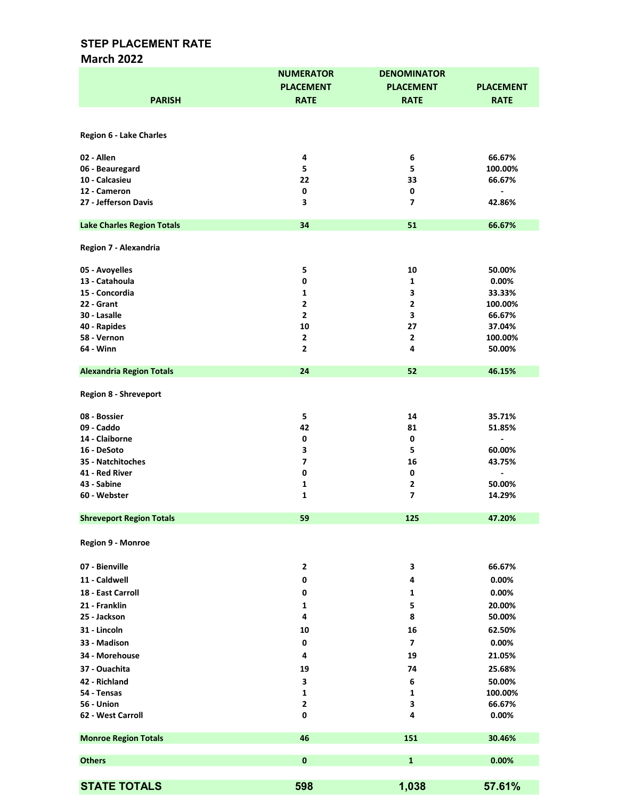## March 2022

|                                   | <b>NUMERATOR</b> | <b>DENOMINATOR</b>      |                          |
|-----------------------------------|------------------|-------------------------|--------------------------|
|                                   | <b>PLACEMENT</b> | <b>PLACEMENT</b>        | <b>PLACEMENT</b>         |
| <b>PARISH</b>                     | <b>RATE</b>      | <b>RATE</b>             | <b>RATE</b>              |
|                                   |                  |                         |                          |
|                                   |                  |                         |                          |
| <b>Region 6 - Lake Charles</b>    |                  |                         |                          |
| 02 - Allen                        | 4                | 6                       | 66.67%                   |
| 06 - Beauregard                   | 5                | 5                       | 100.00%                  |
| 10 - Calcasieu                    | 22               | 33                      | 66.67%                   |
| 12 - Cameron                      | 0                | 0                       | $\overline{\phantom{a}}$ |
| 27 - Jefferson Davis              | 3                | 7                       | 42.86%                   |
|                                   |                  |                         |                          |
| <b>Lake Charles Region Totals</b> | 34               | 51                      | 66.67%                   |
|                                   |                  |                         |                          |
| Region 7 - Alexandria             |                  |                         |                          |
|                                   |                  |                         |                          |
| 05 - Avoyelles<br>13 - Catahoula  | 5                | 10                      | 50.00%<br>0.00%          |
| 15 - Concordia                    | 0                | 1<br>3                  |                          |
|                                   | 1                |                         | 33.33%                   |
| 22 - Grant                        | $\mathbf{2}$     | $\mathbf{2}$            | 100.00%                  |
| 30 - Lasalle                      | $\mathbf{2}$     | 3                       | 66.67%                   |
| 40 - Rapides                      | 10               | 27                      | 37.04%                   |
| 58 - Vernon                       | $\mathbf{2}$     | $\mathbf{2}$            | 100.00%                  |
| 64 - Winn                         | $\mathbf{2}$     | 4                       | 50.00%                   |
| <b>Alexandria Region Totals</b>   | 24               | 52                      | 46.15%                   |
|                                   |                  |                         |                          |
| <b>Region 8 - Shreveport</b>      |                  |                         |                          |
|                                   |                  |                         |                          |
| 08 - Bossier                      | 5                | 14                      | 35.71%                   |
| 09 - Caddo                        | 42               | 81                      | 51.85%                   |
| 14 - Claiborne                    | 0                | 0                       |                          |
| 16 - DeSoto                       | 3                | 5                       | 60.00%                   |
| 35 - Natchitoches                 | $\overline{ }$   | 16                      | 43.75%                   |
| 41 - Red River                    | 0                | 0                       |                          |
| 43 - Sabine                       | $\mathbf{1}$     | $\mathbf{2}$            | 50.00%                   |
| 60 - Webster                      | $\mathbf 1$      | $\overline{\mathbf{z}}$ | 14.29%                   |
|                                   |                  |                         |                          |
| <b>Shreveport Region Totals</b>   | 59               | 125                     | 47.20%                   |
|                                   |                  |                         |                          |
| Region 9 - Monroe                 |                  |                         |                          |
|                                   |                  |                         |                          |
| 07 - Bienville                    | $\mathbf 2$      | 3                       | 66.67%                   |
| 11 - Caldwell                     | 0                | 4                       | 0.00%                    |
| 18 - East Carroll                 | 0                | 1                       | 0.00%                    |
| 21 - Franklin                     |                  |                         |                          |
|                                   | $\mathbf{1}$     | 5                       | 20.00%                   |
| 25 - Jackson                      | 4                | 8                       | 50.00%                   |
| 31 - Lincoln                      | 10               | 16                      | 62.50%                   |
| 33 - Madison                      | 0                | $\overline{\mathbf{z}}$ | 0.00%                    |
| 34 - Morehouse                    | 4                | 19                      | 21.05%                   |
| 37 - Ouachita                     | 19               | 74                      | 25.68%                   |
| 42 - Richland                     | 3                | 6                       | 50.00%                   |
| 54 - Tensas                       | 1                | 1                       | 100.00%                  |
| 56 - Union                        | $\overline{2}$   | 3                       | 66.67%                   |
| 62 - West Carroll                 | 0                | 4                       | 0.00%                    |
|                                   |                  |                         |                          |
| <b>Monroe Region Totals</b>       | 46               | 151                     | 30.46%                   |
|                                   |                  |                         |                          |
| <b>Others</b>                     | $\mathbf{0}$     | $\mathbf{1}$            | 0.00%                    |
|                                   |                  |                         |                          |
| <b>STATE TOTALS</b>               | 598              | 1,038                   | 57.61%                   |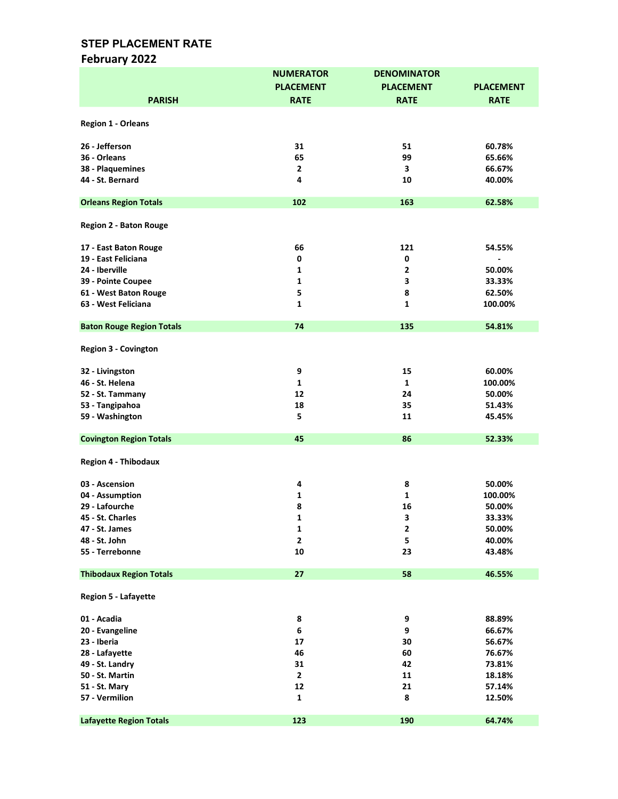# February 2022

|                                  | <b>NUMERATOR</b> | <b>DENOMINATOR</b> |                  |
|----------------------------------|------------------|--------------------|------------------|
|                                  | <b>PLACEMENT</b> | <b>PLACEMENT</b>   | <b>PLACEMENT</b> |
| <b>PARISH</b>                    | <b>RATE</b>      | <b>RATE</b>        | <b>RATE</b>      |
|                                  |                  |                    |                  |
| <b>Region 1 - Orleans</b>        |                  |                    |                  |
|                                  |                  |                    |                  |
| 26 - Jefferson                   | 31               | 51                 | 60.78%           |
| 36 - Orleans                     | 65               | 99                 | 65.66%           |
| 38 - Plaquemines                 | $\mathbf{2}$     | 3                  | 66.67%           |
|                                  |                  |                    |                  |
| 44 - St. Bernard                 | 4                | 10                 | 40.00%           |
| <b>Orleans Region Totals</b>     | 102              | 163                | 62.58%           |
|                                  |                  |                    |                  |
| <b>Region 2 - Baton Rouge</b>    |                  |                    |                  |
|                                  |                  |                    |                  |
| 17 - East Baton Rouge            | 66               | 121                | 54.55%           |
| 19 - East Feliciana              | 0                | 0                  |                  |
| 24 - Iberville                   |                  | $\mathbf{2}$       | 50.00%           |
|                                  | 1                |                    |                  |
| 39 - Pointe Coupee               | 1                | 3                  | 33.33%           |
| 61 - West Baton Rouge            | 5                | 8                  | 62.50%           |
| 63 - West Feliciana              | 1                | $\mathbf{1}$       | 100.00%          |
|                                  |                  |                    |                  |
| <b>Baton Rouge Region Totals</b> | 74               | 135                | 54.81%           |
|                                  |                  |                    |                  |
| <b>Region 3 - Covington</b>      |                  |                    |                  |
|                                  |                  |                    |                  |
| 32 - Livingston                  | 9                | 15                 | 60.00%           |
| 46 - St. Helena                  | $\mathbf{1}$     | $\mathbf{1}$       | 100.00%          |
| 52 - St. Tammany                 | 12               | 24                 | 50.00%           |
| 53 - Tangipahoa                  | 18               | 35                 | 51.43%           |
| 59 - Washington                  | 5                | 11                 | 45.45%           |
|                                  |                  |                    |                  |
| <b>Covington Region Totals</b>   | 45               | 86                 | 52.33%           |
|                                  |                  |                    |                  |
| <b>Region 4 - Thibodaux</b>      |                  |                    |                  |
|                                  |                  |                    |                  |
| 03 - Ascension                   | 4                | 8                  | 50.00%           |
| 04 - Assumption                  | 1                | $\mathbf{1}$       | 100.00%          |
| 29 - Lafourche                   | 8                | 16                 | 50.00%           |
| 45 - St. Charles                 | 1                | 3                  | 33.33%           |
| 47 - St. James                   | 1                | $\mathbf{2}$       | 50.00%           |
| 48 - St. John                    | $\mathbf{2}$     | 5                  | 40.00%           |
| 55 - Terrebonne                  | 10               | 23                 | 43.48%           |
|                                  |                  |                    |                  |
| <b>Thibodaux Region Totals</b>   | 27               | 58                 | 46.55%           |
|                                  |                  |                    |                  |
| <b>Region 5 - Lafayette</b>      |                  |                    |                  |
|                                  |                  |                    |                  |
| 01 - Acadia                      | 8                | 9                  | 88.89%           |
| 20 - Evangeline                  | $\bf 6$          | 9                  | 66.67%           |
| 23 - Iberia                      | 17               | 30                 | 56.67%           |
| 28 - Lafayette                   | 46               | 60                 | 76.67%           |
| 49 - St. Landry                  | 31               | 42                 | 73.81%           |
|                                  |                  |                    |                  |
| 50 - St. Martin                  | $\mathbf{2}$     | 11                 | 18.18%           |
| 51 - St. Mary                    | 12               | 21                 | 57.14%           |
| 57 - Vermilion                   | $\mathbf 1$      | 8                  | 12.50%           |
|                                  |                  |                    |                  |
| <b>Lafayette Region Totals</b>   | 123              | 190                | 64.74%           |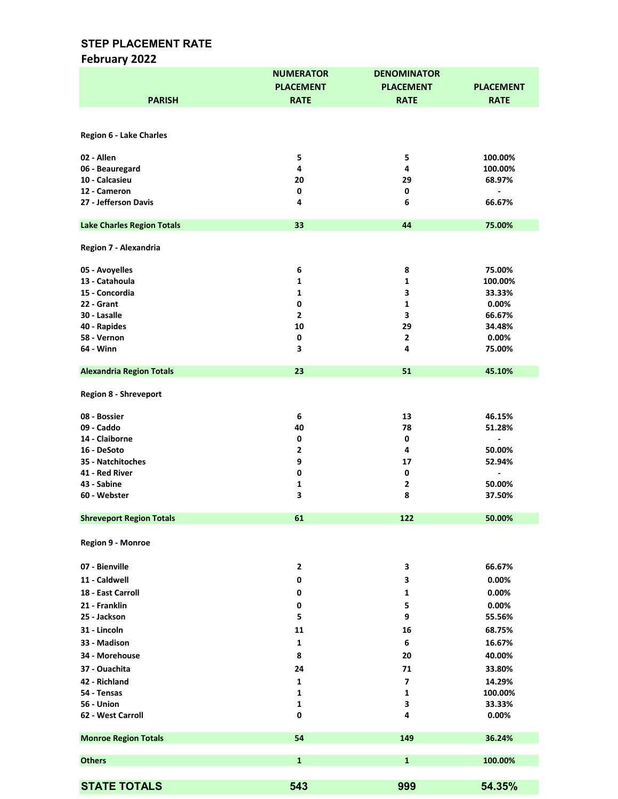# February 2022

|                                   | <b>NUMERATOR</b> | <b>DENOMINATOR</b>      |                              |
|-----------------------------------|------------------|-------------------------|------------------------------|
|                                   | <b>PLACEMENT</b> | <b>PLACEMENT</b>        | <b>PLACEMENT</b>             |
| <b>PARISH</b>                     | <b>RATE</b>      | <b>RATE</b>             | <b>RATE</b>                  |
|                                   |                  |                         |                              |
|                                   |                  |                         |                              |
| <b>Region 6 - Lake Charles</b>    |                  |                         |                              |
|                                   |                  |                         |                              |
| 02 - Allen                        | 5                | 5                       | 100.00%                      |
| 06 - Beauregard                   | 4                | 4                       | 100.00%                      |
| 10 - Calcasieu                    | 20               | 29                      | 68.97%                       |
| 12 - Cameron                      | 0                | $\mathbf 0$             | $\qquad \qquad \blacksquare$ |
| 27 - Jefferson Davis              | 4                | 6                       | 66.67%                       |
|                                   |                  |                         |                              |
| <b>Lake Charles Region Totals</b> | 33               | 44                      | 75.00%                       |
|                                   |                  |                         |                              |
| Region 7 - Alexandria             |                  |                         |                              |
| 05 - Avoyelles                    | 6                | 8                       | 75.00%                       |
| 13 - Catahoula                    | 1                | 1                       | 100.00%                      |
| 15 - Concordia                    | $\mathbf{1}$     | 3                       | 33.33%                       |
| 22 - Grant                        | $\pmb{0}$        | $\mathbf 1$             | 0.00%                        |
| 30 - Lasalle                      | $\mathbf 2$      | 3                       | 66.67%                       |
| 40 - Rapides                      | 10               | 29                      | 34.48%                       |
| 58 - Vernon                       | 0                | $\overline{2}$          | 0.00%                        |
| 64 - Winn                         | 3                | 4                       | 75.00%                       |
|                                   |                  |                         |                              |
| <b>Alexandria Region Totals</b>   | 23               | 51                      | 45.10%                       |
| <b>Region 8 - Shreveport</b>      |                  |                         |                              |
|                                   |                  |                         |                              |
| 08 - Bossier                      | 6                | 13                      | 46.15%                       |
| 09 - Caddo                        | 40               | 78                      | 51.28%                       |
| 14 - Claiborne                    | 0                | 0                       |                              |
| 16 - DeSoto                       | 2                | 4                       | 50.00%                       |
| 35 - Natchitoches                 | 9                | 17                      | 52.94%                       |
| 41 - Red River                    | 0                | $\pmb{0}$               | $\overline{a}$               |
| 43 - Sabine                       | 1                | $\mathbf{2}$            | 50.00%                       |
| 60 - Webster                      | 3                | 8                       | 37.50%                       |
|                                   |                  |                         |                              |
| <b>Shreveport Region Totals</b>   | 61               | 122                     | 50.00%                       |
| Region 9 - Monroe                 |                  |                         |                              |
|                                   |                  |                         |                              |
| 07 - Bienville                    | 2                | 3                       | 66.67%                       |
| 11 - Caldwell                     | 0                | 3                       | 0.00%                        |
| 18 - East Carroll                 | 0                | 1                       | 0.00%                        |
| 21 - Franklin                     | 0                | 5                       | 0.00%                        |
| 25 - Jackson                      | 5                | 9                       | 55.56%                       |
|                                   |                  |                         |                              |
| 31 - Lincoln                      | 11               | 16                      | 68.75%                       |
| 33 - Madison                      | 1                | 6                       | 16.67%                       |
| 34 - Morehouse                    | 8                | 20                      | 40.00%                       |
| 37 - Ouachita                     | 24               | 71                      | 33.80%                       |
| 42 - Richland                     | 1                | $\overline{\mathbf{z}}$ | 14.29%                       |
| 54 - Tensas                       | 1                | 1                       | 100.00%                      |
| 56 - Union                        | 1                | 3                       | 33.33%                       |
| 62 - West Carroll                 | 0                | 4                       | 0.00%                        |
|                                   |                  |                         |                              |
| <b>Monroe Region Totals</b>       | 54               | 149                     | 36.24%                       |
|                                   |                  |                         |                              |
| <b>Others</b>                     | $\mathbf{1}$     | $\mathbf{1}$            | 100.00%                      |
|                                   |                  |                         |                              |
| <b>STATE TOTALS</b>               | 543              | 999                     | 54.35%                       |
|                                   |                  |                         |                              |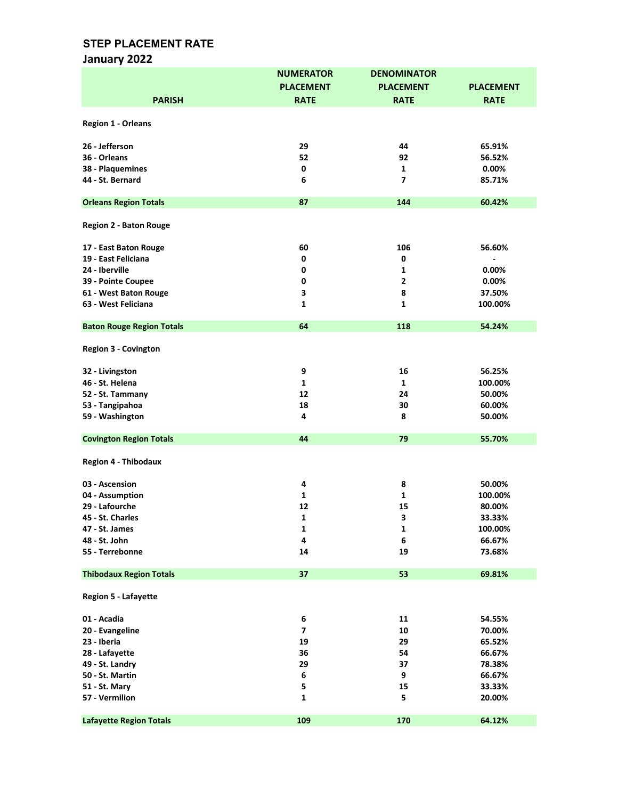# January 2022

|                                  | <b>NUMERATOR</b>        | <b>DENOMINATOR</b> |                  |
|----------------------------------|-------------------------|--------------------|------------------|
|                                  | <b>PLACEMENT</b>        | <b>PLACEMENT</b>   | <b>PLACEMENT</b> |
| <b>PARISH</b>                    | <b>RATE</b>             | <b>RATE</b>        | <b>RATE</b>      |
|                                  |                         |                    |                  |
|                                  |                         |                    |                  |
| <b>Region 1 - Orleans</b>        |                         |                    |                  |
|                                  |                         |                    |                  |
| 26 - Jefferson                   | 29                      | 44                 | 65.91%           |
| 36 - Orleans                     | 52                      | 92                 | 56.52%           |
| 38 - Plaquemines                 | 0                       | 1                  | 0.00%            |
| 44 - St. Bernard                 | 6                       | 7                  | 85.71%           |
|                                  |                         |                    |                  |
| <b>Orleans Region Totals</b>     | 87                      | 144                | 60.42%           |
|                                  |                         |                    |                  |
| <b>Region 2 - Baton Rouge</b>    |                         |                    |                  |
|                                  |                         |                    |                  |
| 17 - East Baton Rouge            | 60                      | 106                | 56.60%           |
| 19 - East Feliciana              | 0                       | 0                  |                  |
| 24 - Iberville                   | 0                       | 1                  | 0.00%            |
| 39 - Pointe Coupee               | 0                       | $\mathbf{2}$       | 0.00%            |
| 61 - West Baton Rouge            | 3                       | 8                  | 37.50%           |
| 63 - West Feliciana              | 1                       | $\mathbf{1}$       | 100.00%          |
|                                  |                         |                    |                  |
| <b>Baton Rouge Region Totals</b> | 64                      | 118                | 54.24%           |
|                                  |                         |                    |                  |
| <b>Region 3 - Covington</b>      |                         |                    |                  |
|                                  |                         |                    |                  |
| 32 - Livingston                  | 9                       | 16                 | 56.25%           |
| 46 - St. Helena                  | $\mathbf{1}$            | $\mathbf{1}$       | 100.00%          |
| 52 - St. Tammany                 | 12                      | 24                 | 50.00%           |
|                                  | 18                      | 30                 | 60.00%           |
| 53 - Tangipahoa                  |                         |                    |                  |
| 59 - Washington                  | 4                       | 8                  | 50.00%           |
|                                  | 44                      | 79                 |                  |
| <b>Covington Region Totals</b>   |                         |                    | 55.70%           |
|                                  |                         |                    |                  |
| <b>Region 4 - Thibodaux</b>      |                         |                    |                  |
|                                  |                         |                    |                  |
| 03 - Ascension                   | 4                       | 8                  | 50.00%           |
| 04 - Assumption                  | 1                       | 1                  | 100.00%          |
| 29 - Lafourche                   | 12                      | 15                 | 80.00%           |
| 45 - St. Charles                 | 1                       | 3                  | 33.33%           |
| 47 - St. James                   | $\mathbf{1}$            | 1                  | 100.00%          |
| 48 - St. John                    | 4                       | 6                  | 66.67%           |
| 55 - Terrebonne                  | 14                      | 19                 | 73.68%           |
|                                  |                         |                    |                  |
| <b>Thibodaux Region Totals</b>   | 37                      | 53                 | 69.81%           |
|                                  |                         |                    |                  |
| <b>Region 5 - Lafayette</b>      |                         |                    |                  |
|                                  |                         |                    |                  |
| 01 - Acadia                      | 6                       | 11                 | 54.55%           |
| 20 - Evangeline                  | $\overline{\mathbf{z}}$ | 10                 | 70.00%           |
| 23 - Iberia                      | 19                      | 29                 | 65.52%           |
| 28 - Lafayette                   | 36                      | 54                 | 66.67%           |
| 49 - St. Landry                  | 29                      | 37                 | 78.38%           |
| 50 - St. Martin                  | 6                       | 9                  | 66.67%           |
|                                  | 5                       | 15                 |                  |
| 51 - St. Mary                    |                         |                    | 33.33%           |
| 57 - Vermilion                   | 1                       | 5                  | 20.00%           |
|                                  |                         |                    |                  |
| <b>Lafayette Region Totals</b>   | 109                     | 170                | 64.12%           |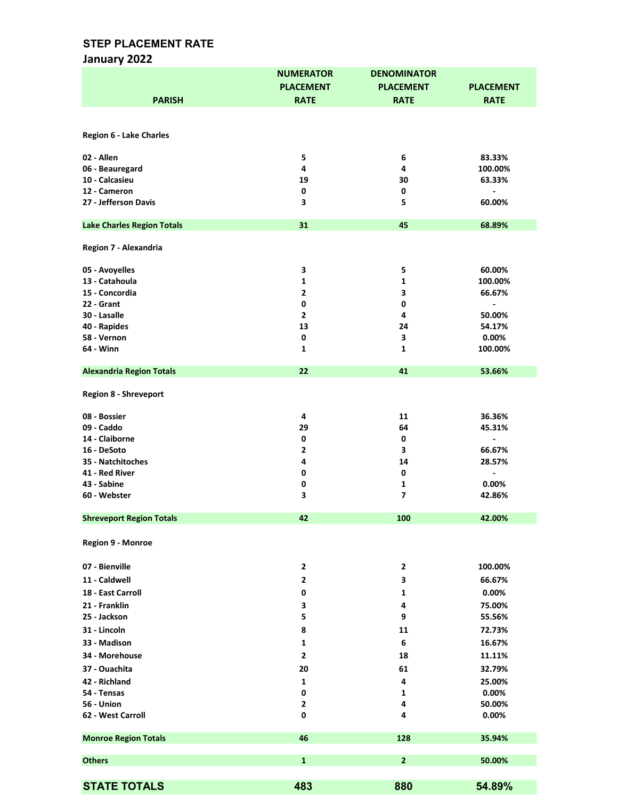# January 2022

|                                   | <b>NUMERATOR</b>        | <b>DENOMINATOR</b> |                              |
|-----------------------------------|-------------------------|--------------------|------------------------------|
|                                   | <b>PLACEMENT</b>        | <b>PLACEMENT</b>   | <b>PLACEMENT</b>             |
| <b>PARISH</b>                     | <b>RATE</b>             | <b>RATE</b>        | <b>RATE</b>                  |
|                                   |                         |                    |                              |
|                                   |                         |                    |                              |
| <b>Region 6 - Lake Charles</b>    |                         |                    |                              |
|                                   |                         |                    |                              |
| 02 - Allen                        | 5                       | 6                  | 83.33%                       |
| 06 - Beauregard                   | 4                       | 4                  | 100.00%                      |
| 10 - Calcasieu                    | 19                      | 30                 | 63.33%                       |
| 12 - Cameron                      | 0                       | 0                  |                              |
| 27 - Jefferson Davis              | 3                       | 5                  | 60.00%                       |
|                                   |                         |                    |                              |
| <b>Lake Charles Region Totals</b> | 31                      | 45                 | 68.89%                       |
|                                   |                         |                    |                              |
| Region 7 - Alexandria             |                         |                    |                              |
|                                   |                         |                    |                              |
| 05 - Avoyelles                    | 3                       | 5                  | 60.00%                       |
| 13 - Catahoula                    | 1                       | 1                  | 100.00%                      |
| 15 - Concordia                    | $\overline{2}$          | 3                  | 66.67%                       |
| 22 - Grant                        | $\pmb{0}$               | 0                  | $\blacksquare$               |
| 30 - Lasalle                      | $\overline{2}$          | 4                  | 50.00%                       |
| 40 - Rapides                      | 13                      | 24                 | 54.17%                       |
| 58 - Vernon                       | $\pmb{0}$               | 3                  | $0.00\%$                     |
| 64 - Winn                         | 1                       | 1                  | 100.00%                      |
|                                   |                         |                    |                              |
| <b>Alexandria Region Totals</b>   | 22                      | 41                 | 53.66%                       |
|                                   |                         |                    |                              |
| <b>Region 8 - Shreveport</b>      |                         |                    |                              |
| 08 - Bossier                      | 4                       | 11                 | 36.36%                       |
| 09 - Caddo                        | 29                      | 64                 | 45.31%                       |
| 14 - Claiborne                    | 0                       | 0                  |                              |
| 16 - DeSoto                       | $\overline{2}$          | 3                  | 66.67%                       |
| 35 - Natchitoches                 | 4                       | 14                 | 28.57%                       |
| 41 - Red River                    | 0                       | 0                  | $\qquad \qquad \blacksquare$ |
| 43 - Sabine                       | 0                       | $\mathbf{1}$       | 0.00%                        |
| 60 - Webster                      | 3                       | 7                  | 42.86%                       |
|                                   |                         |                    |                              |
| <b>Shreveport Region Totals</b>   | 42                      | 100                | 42.00%                       |
|                                   |                         |                    |                              |
| Region 9 - Monroe                 |                         |                    |                              |
|                                   |                         |                    |                              |
|                                   |                         |                    | 100.00%                      |
| 07 - Bienville                    | $\overline{\mathbf{2}}$ | $\mathbf{2}$       |                              |
| 11 - Caldwell                     | $\overline{2}$          | 3                  | 66.67%                       |
| 18 - East Carroll                 | 0                       | 1                  | 0.00%                        |
| 21 - Franklin                     | 3                       | 4                  | 75.00%                       |
| 25 - Jackson                      | 5                       | 9                  | 55.56%                       |
| 31 - Lincoln                      | 8                       | 11                 | 72.73%                       |
| 33 - Madison                      | $\mathbf 1$             | 6                  | 16.67%                       |
| 34 - Morehouse                    | 2                       | 18                 | 11.11%                       |
| 37 - Ouachita                     | 20                      | 61                 | 32.79%                       |
| 42 - Richland                     |                         |                    |                              |
|                                   | 1                       | 4                  | 25.00%                       |
| 54 - Tensas<br>56 - Union         | 0<br>2                  | 1<br>4             | 0.00%<br>50.00%              |
| 62 - West Carroll                 | 0                       | 4                  | 0.00%                        |
|                                   |                         |                    |                              |
|                                   | 46                      | 128                | 35.94%                       |
| <b>Monroe Region Totals</b>       |                         |                    |                              |
| <b>Others</b>                     | $\mathbf{1}$            | $\overline{2}$     | 50.00%                       |
|                                   |                         |                    |                              |
|                                   |                         |                    |                              |
| <b>STATE TOTALS</b>               | 483                     | 880                | 54.89%                       |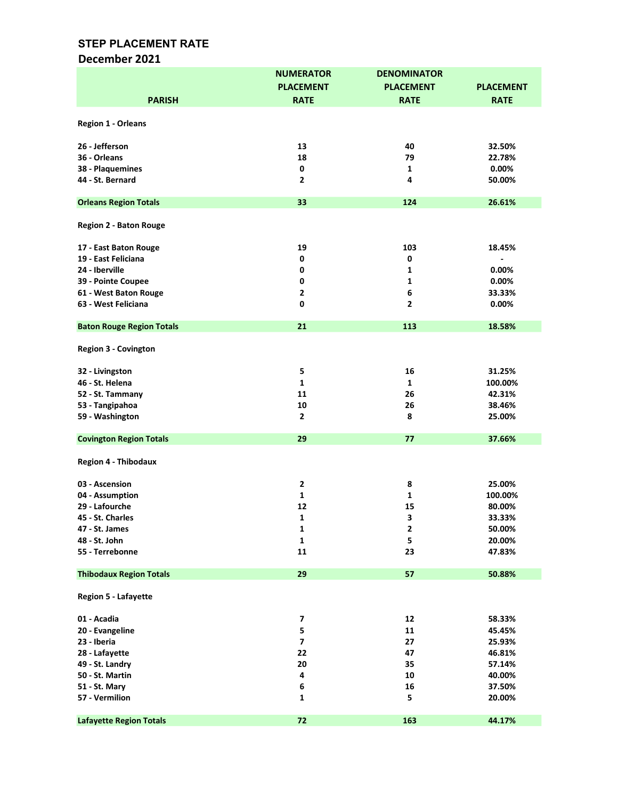### December 2021

|                                  | <b>NUMERATOR</b>        | <b>DENOMINATOR</b> |                  |
|----------------------------------|-------------------------|--------------------|------------------|
|                                  | <b>PLACEMENT</b>        | <b>PLACEMENT</b>   | <b>PLACEMENT</b> |
| <b>PARISH</b>                    | <b>RATE</b>             | <b>RATE</b>        | <b>RATE</b>      |
|                                  |                         |                    |                  |
| Region 1 - Orleans               |                         |                    |                  |
|                                  |                         |                    |                  |
| 26 - Jefferson                   | 13                      | 40                 | 32.50%           |
| 36 - Orleans                     | 18                      | 79                 | 22.78%           |
| 38 - Plaquemines                 | 0                       | 1                  | 0.00%            |
| 44 - St. Bernard                 | $\overline{\mathbf{2}}$ | 4                  | 50.00%           |
|                                  |                         |                    |                  |
| <b>Orleans Region Totals</b>     | 33                      | 124                | 26.61%           |
|                                  |                         |                    |                  |
| <b>Region 2 - Baton Rouge</b>    |                         |                    |                  |
|                                  |                         |                    |                  |
| 17 - East Baton Rouge            | 19                      | 103                | 18.45%           |
| 19 - East Feliciana              | 0                       | 0                  |                  |
| 24 - Iberville                   | 0                       | 1                  | 0.00%            |
| 39 - Pointe Coupee               | 0                       | 1                  | 0.00%            |
| 61 - West Baton Rouge            | $\overline{\mathbf{2}}$ | 6                  | 33.33%           |
| 63 - West Feliciana              | 0                       | $\overline{2}$     | 0.00%            |
|                                  |                         |                    |                  |
| <b>Baton Rouge Region Totals</b> | 21                      | 113                | 18.58%           |
|                                  |                         |                    |                  |
| <b>Region 3 - Covington</b>      |                         |                    |                  |
|                                  |                         |                    |                  |
| 32 - Livingston                  | 5                       | 16                 | 31.25%           |
| 46 - St. Helena                  | $\mathbf{1}$            | $\mathbf{1}$       | 100.00%          |
| 52 - St. Tammany                 | 11                      | 26                 | 42.31%           |
| 53 - Tangipahoa                  | 10                      | 26                 | 38.46%           |
| 59 - Washington                  | $\overline{2}$          | 8                  | 25.00%           |
|                                  |                         |                    |                  |
| <b>Covington Region Totals</b>   | 29                      | 77                 | 37.66%           |
| <b>Region 4 - Thibodaux</b>      |                         |                    |                  |
|                                  |                         |                    |                  |
| 03 - Ascension                   | $\mathbf 2$             | 8                  | 25.00%           |
| 04 - Assumption                  | 1                       | $\mathbf{1}$       | 100.00%          |
| 29 - Lafourche                   | 12                      | 15                 | 80.00%           |
| 45 - St. Charles                 | 1                       | 3                  | 33.33%           |
| 47 - St. James                   | $\mathbf 1$             | $\mathbf{2}$       | 50.00%           |
| 48 - St. John                    | $\mathbf{1}$            | 5                  | 20.00%           |
| 55 - Terrebonne                  | 11                      | 23                 | 47.83%           |
|                                  |                         |                    |                  |
| <b>Thibodaux Region Totals</b>   | 29                      | 57                 | 50.88%           |
|                                  |                         |                    |                  |
| <b>Region 5 - Lafayette</b>      |                         |                    |                  |
|                                  |                         |                    |                  |
| 01 - Acadia                      | $\overline{\mathbf{z}}$ | 12                 | 58.33%           |
| 20 - Evangeline                  | 5                       | 11                 | 45.45%           |
| 23 - Iberia                      | $\overline{\mathbf{z}}$ | 27                 | 25.93%           |
| 28 - Lafayette                   | 22                      | 47                 | 46.81%           |
| 49 - St. Landry                  | 20                      | 35                 | 57.14%           |
| 50 - St. Martin                  | 4                       | 10                 | 40.00%           |
| 51 - St. Mary                    | 6                       | 16                 | 37.50%           |
| 57 - Vermilion                   | 1                       | 5                  | 20.00%           |
|                                  |                         |                    |                  |
| <b>Lafayette Region Totals</b>   | 72                      | 163                | 44.17%           |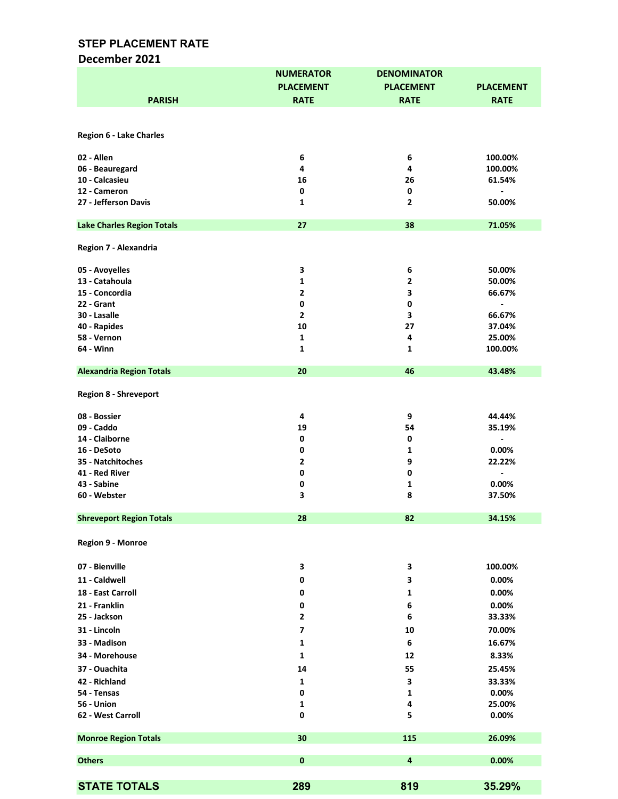#### December 2021

|                                   | <b>NUMERATOR</b> | <b>DENOMINATOR</b> |                  |
|-----------------------------------|------------------|--------------------|------------------|
|                                   | <b>PLACEMENT</b> | <b>PLACEMENT</b>   | <b>PLACEMENT</b> |
| <b>PARISH</b>                     | <b>RATE</b>      | <b>RATE</b>        | <b>RATE</b>      |
|                                   |                  |                    |                  |
|                                   |                  |                    |                  |
| <b>Region 6 - Lake Charles</b>    |                  |                    |                  |
|                                   |                  |                    |                  |
| 02 - Allen                        | 6                | 6                  | 100.00%          |
| 06 - Beauregard                   | 4                | 4                  | 100.00%          |
| 10 - Calcasieu                    | 16               | 26                 | 61.54%           |
| 12 - Cameron                      | 0                | 0                  |                  |
| 27 - Jefferson Davis              | 1                | $\mathbf{2}$       | 50.00%           |
|                                   |                  |                    |                  |
| <b>Lake Charles Region Totals</b> | 27               | 38                 | 71.05%           |
|                                   |                  |                    |                  |
| Region 7 - Alexandria             |                  |                    |                  |
|                                   |                  |                    |                  |
| 05 - Avoyelles                    | З                | 6                  | 50.00%           |
| 13 - Catahoula                    | 1                | $\mathbf{2}$       | 50.00%           |
| 15 - Concordia                    | $\mathbf{2}$     | 3                  | 66.67%           |
| 22 - Grant                        | 0                | 0                  | $\blacksquare$   |
| 30 - Lasalle                      | $\mathbf{2}$     | 3                  | 66.67%           |
| 40 - Rapides                      | 10               | 27                 | 37.04%           |
| 58 - Vernon                       | $\mathbf 1$      | 4                  | 25.00%           |
| 64 - Winn                         | 1                | 1                  | 100.00%          |
|                                   |                  |                    |                  |
| <b>Alexandria Region Totals</b>   | 20               | 46                 | 43.48%           |
|                                   |                  |                    |                  |
| <b>Region 8 - Shreveport</b>      |                  |                    |                  |
|                                   |                  |                    |                  |
| 08 - Bossier                      | 4                | 9                  | 44.44%           |
| 09 - Caddo                        | 19               | 54                 | 35.19%           |
| 14 - Claiborne                    | 0                | $\pmb{0}$          |                  |
| 16 - DeSoto                       | 0                | 1                  | 0.00%            |
| 35 - Natchitoches                 | $\mathbf{2}$     | 9                  | 22.22%           |
| 41 - Red River                    | 0                | $\pmb{0}$          | $\blacksquare$   |
| 43 - Sabine                       | 0                | 1                  | 0.00%            |
| 60 - Webster                      | 3                | 8                  | 37.50%           |
|                                   |                  |                    |                  |
| <b>Shreveport Region Totals</b>   | 28               | 82                 | 34.15%           |
|                                   |                  |                    |                  |
| Region 9 - Monroe                 |                  |                    |                  |
|                                   |                  |                    |                  |
| 07 - Bienville                    | 3                | 3                  | 100.00%          |
| 11 - Caldwell                     | 0                | 3                  | 0.00%            |
| 18 - East Carroll                 | 0                | 1                  | 0.00%            |
|                                   |                  |                    |                  |
| 21 - Franklin                     | 0                | 6                  | 0.00%            |
| 25 - Jackson                      | 2                | 6                  | 33.33%           |
| 31 - Lincoln                      | 7                | 10                 | 70.00%           |
| 33 - Madison                      | 1                | 6                  | 16.67%           |
| 34 - Morehouse                    | 1                | 12                 | 8.33%            |
| 37 - Ouachita                     | 14               | 55                 | 25.45%           |
| 42 - Richland                     | 1                | 3                  | 33.33%           |
| 54 - Tensas                       | 0                | 1                  | 0.00%            |
| <b>56 - Union</b>                 | 1                | 4                  | 25.00%           |
| 62 - West Carroll                 | 0                | 5                  | 0.00%            |
|                                   |                  |                    |                  |
| <b>Monroe Region Totals</b>       | 30               | 115                | 26.09%           |
|                                   |                  |                    |                  |
| <b>Others</b>                     | $\bf{0}$         | 4                  | 0.00%            |
|                                   |                  |                    |                  |
| <b>STATE TOTALS</b>               |                  |                    |                  |
|                                   | 289              | 819                | 35.29%           |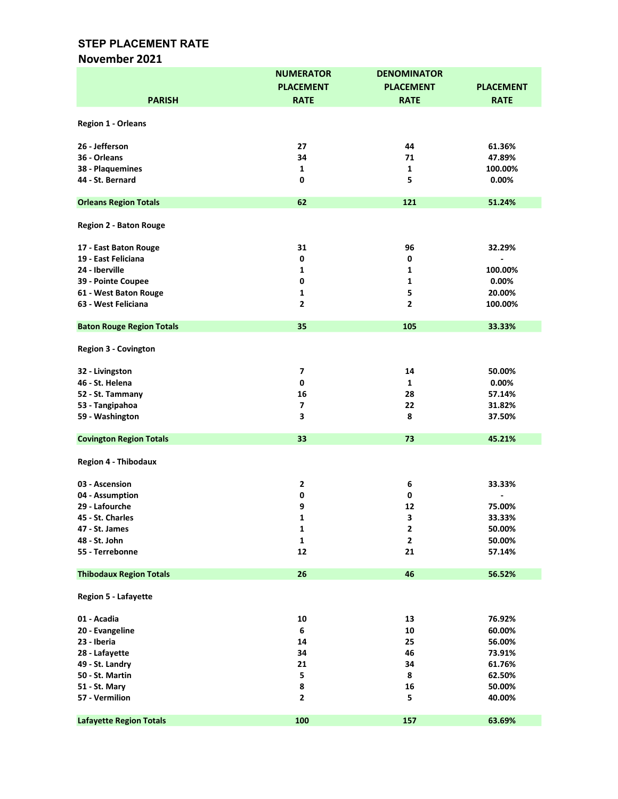### November 2021

|                                  | <b>NUMERATOR</b> | <b>DENOMINATOR</b> |                  |
|----------------------------------|------------------|--------------------|------------------|
|                                  | <b>PLACEMENT</b> | <b>PLACEMENT</b>   | <b>PLACEMENT</b> |
|                                  | <b>RATE</b>      | <b>RATE</b>        | <b>RATE</b>      |
| <b>PARISH</b>                    |                  |                    |                  |
|                                  |                  |                    |                  |
| Region 1 - Orleans               |                  |                    |                  |
|                                  |                  |                    |                  |
| 26 - Jefferson                   | 27               | 44                 | 61.36%           |
| 36 - Orleans                     | 34               | 71                 | 47.89%           |
| 38 - Plaquemines                 | 1                | 1                  | 100.00%          |
| 44 - St. Bernard                 | 0                | 5                  | 0.00%            |
| <b>Orleans Region Totals</b>     | 62               | 121                | 51.24%           |
|                                  |                  |                    |                  |
| <b>Region 2 - Baton Rouge</b>    |                  |                    |                  |
|                                  |                  |                    |                  |
| 17 - East Baton Rouge            | 31               | 96                 | 32.29%           |
| 19 - East Feliciana              | 0                | 0                  |                  |
| 24 - Iberville                   | 1                | 1                  | 100.00%          |
| 39 - Pointe Coupee               | 0                | 1                  | 0.00%            |
| 61 - West Baton Rouge            | 1                | 5                  | 20.00%           |
| 63 - West Feliciana              | $\overline{2}$   | $\overline{2}$     | 100.00%          |
|                                  |                  |                    |                  |
| <b>Baton Rouge Region Totals</b> | 35               | 105                | 33.33%           |
|                                  |                  |                    |                  |
| <b>Region 3 - Covington</b>      |                  |                    |                  |
|                                  |                  |                    |                  |
| 32 - Livingston                  | 7                | 14                 | 50.00%           |
| 46 - St. Helena                  | $\pmb{0}$        | 1                  | 0.00%            |
| 52 - St. Tammany                 | 16               | 28                 | 57.14%           |
| 53 - Tangipahoa                  | 7                | 22                 | 31.82%           |
| 59 - Washington                  | 3                | 8                  | 37.50%           |
|                                  |                  |                    |                  |
| <b>Covington Region Totals</b>   | 33               | 73                 | 45.21%           |
|                                  |                  |                    |                  |
| <b>Region 4 - Thibodaux</b>      |                  |                    |                  |
|                                  |                  |                    |                  |
| 03 - Ascension                   | $\mathbf{2}$     | 6                  | 33.33%           |
| 04 - Assumption                  | 0                | 0                  |                  |
| 29 - Lafourche                   | 9                | 12                 | 75.00%           |
| 45 - St. Charles                 | 1                | 3                  | 33.33%           |
| 47 - St. James                   | $\mathbf 1$      | $\mathbf{2}$       | 50.00%           |
| 48 - St. John                    | $\mathbf{1}$     | $\mathbf{2}$       | 50.00%           |
| 55 - Terrebonne                  | 12               | 21                 | 57.14%           |
|                                  |                  |                    |                  |
| <b>Thibodaux Region Totals</b>   | 26               | 46                 | 56.52%           |
|                                  |                  |                    |                  |
| <b>Region 5 - Lafayette</b>      |                  |                    |                  |
| 01 - Acadia                      | 10               | 13                 | 76.92%           |
| 20 - Evangeline                  | 6                | 10                 | 60.00%           |
| 23 - Iberia                      | 14               | 25                 | 56.00%           |
| 28 - Lafayette                   | 34               | 46                 |                  |
|                                  |                  |                    | 73.91%           |
| 49 - St. Landry                  | 21               | 34                 | 61.76%           |
| 50 - St. Martin                  | 5                | 8                  | 62.50%           |
| 51 - St. Mary                    | 8                | 16                 | 50.00%           |
| 57 - Vermilion                   | $\mathbf{2}$     | 5                  | 40.00%           |
| <b>Lafayette Region Totals</b>   | 100              | 157                | 63.69%           |
|                                  |                  |                    |                  |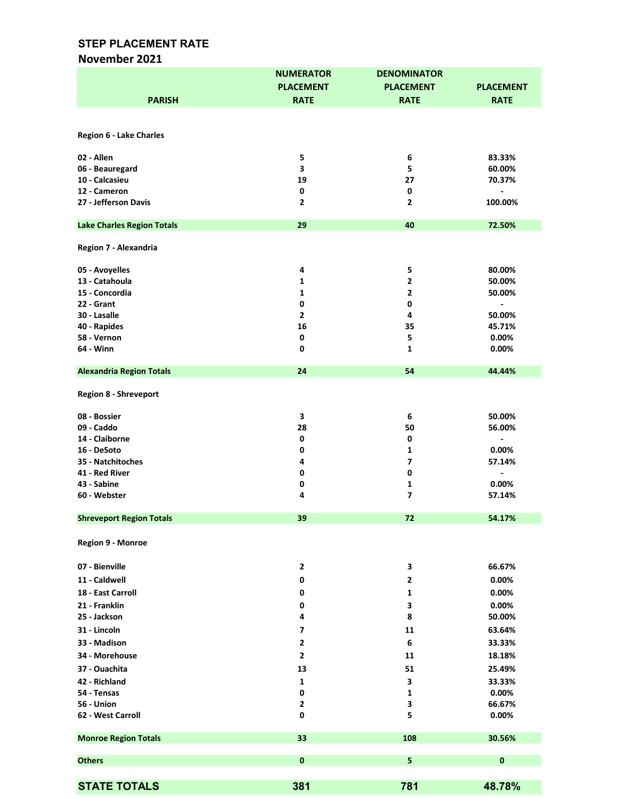#### November 2021

|                                   | <b>NUMERATOR</b>        | <b>DENOMINATOR</b>      |                          |
|-----------------------------------|-------------------------|-------------------------|--------------------------|
|                                   | <b>PLACEMENT</b>        | <b>PLACEMENT</b>        | <b>PLACEMENT</b>         |
| <b>PARISH</b>                     | <b>RATE</b>             | <b>RATE</b>             | <b>RATE</b>              |
|                                   |                         |                         |                          |
|                                   |                         |                         |                          |
| <b>Region 6 - Lake Charles</b>    |                         |                         |                          |
|                                   |                         |                         |                          |
| 02 - Allen                        | 5                       | 6                       | 83.33%                   |
| 06 - Beauregard                   | 3                       | 5                       | 60.00%                   |
| 10 - Calcasieu                    | 19                      | 27                      | 70.37%                   |
| 12 - Cameron                      | 0                       | 0                       | $\overline{\phantom{a}}$ |
| 27 - Jefferson Davis              | 2                       | 2                       | 100.00%                  |
|                                   |                         |                         |                          |
| <b>Lake Charles Region Totals</b> | 29                      | 40                      | 72.50%                   |
|                                   |                         |                         |                          |
| Region 7 - Alexandria             |                         |                         |                          |
| 05 - Avoyelles                    | 4                       | 5                       | 80.00%                   |
| 13 - Catahoula                    | 1                       | 2                       | 50.00%                   |
| 15 - Concordia                    | 1                       | $\overline{2}$          | 50.00%                   |
| 22 - Grant                        | 0                       | $\pmb{0}$               | $\overline{\phantom{a}}$ |
| 30 - Lasalle                      | $\mathbf{2}$            | 4                       | 50.00%                   |
| 40 - Rapides                      | 16                      | 35                      | 45.71%                   |
| 58 - Vernon                       | 0                       | 5                       | 0.00%                    |
| 64 - Winn                         | 0                       | 1                       | 0.00%                    |
|                                   |                         |                         |                          |
| <b>Alexandria Region Totals</b>   | 24                      | 54                      | 44.44%                   |
|                                   |                         |                         |                          |
| <b>Region 8 - Shreveport</b>      |                         |                         |                          |
| 08 - Bossier                      | 3                       | 6                       | 50.00%                   |
| 09 - Caddo                        | 28                      | 50                      | 56.00%                   |
| 14 - Claiborne                    | 0                       | 0                       | $\centerdot$             |
| 16 - DeSoto                       | 0                       | 1                       | 0.00%                    |
| 35 - Natchitoches                 | 4                       | $\overline{7}$          | 57.14%                   |
| 41 - Red River                    | 0                       | $\pmb{0}$               | $\blacksquare$           |
| 43 - Sabine                       | 0                       | 1                       | 0.00%                    |
| 60 - Webster                      | 4                       | $\overline{\mathbf{z}}$ | 57.14%                   |
|                                   |                         |                         |                          |
| <b>Shreveport Region Totals</b>   | 39                      | 72                      | 54.17%                   |
|                                   |                         |                         |                          |
| Region 9 - Monroe                 |                         |                         |                          |
|                                   |                         |                         |                          |
| 07 - Bienville                    | $\mathbf{2}$            | 3                       | 66.67%                   |
| 11 - Caldwell                     | 0                       | 2                       | 0.00%                    |
| 18 - East Carroll                 | 0                       | 1                       | 0.00%                    |
| 21 - Franklin                     | 0                       | 3                       | 0.00%                    |
| 25 - Jackson                      | 4                       | 8                       | 50.00%                   |
| 31 - Lincoln                      | $\overline{\mathbf{z}}$ | 11                      | 63.64%                   |
| 33 - Madison                      | 2                       | 6                       | 33.33%                   |
|                                   |                         |                         |                          |
| 34 - Morehouse                    | $\overline{2}$          | 11                      | 18.18%                   |
| 37 - Ouachita                     | 13                      | 51                      | 25.49%                   |
| 42 - Richland                     | 1                       | 3                       | 33.33%                   |
| 54 - Tensas                       | 0                       | 1                       | 0.00%                    |
| 56 - Union                        | 2                       | 3                       | 66.67%                   |
| 62 - West Carroll                 | 0                       | 5                       | 0.00%                    |
|                                   |                         |                         |                          |
| <b>Monroe Region Totals</b>       | 33                      | 108                     | 30.56%                   |
|                                   |                         | 5                       |                          |
| <b>Others</b>                     | 0                       |                         | 0                        |
|                                   |                         |                         |                          |
| <b>STATE TOTALS</b>               | 381                     | 781                     | 48.78%                   |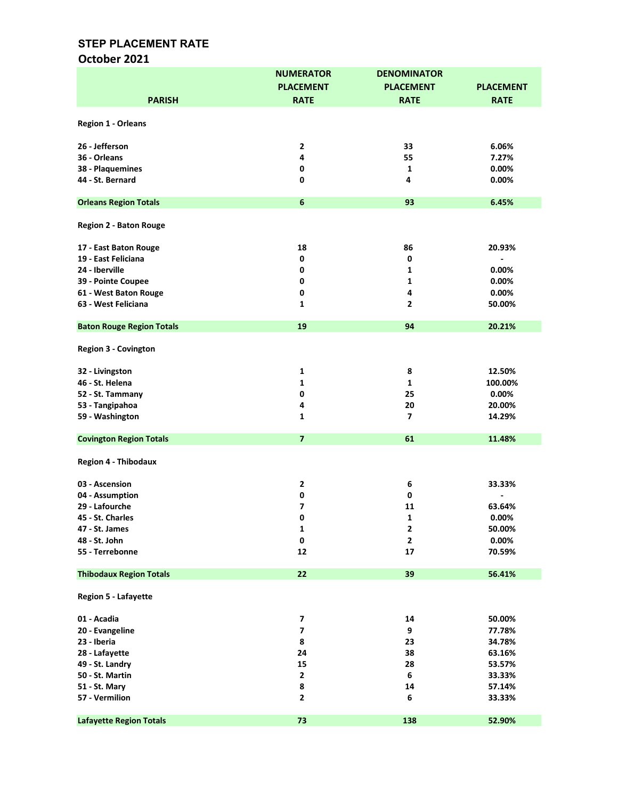# October 2021

|                                  | <b>NUMERATOR</b>         | <b>DENOMINATOR</b> |                  |
|----------------------------------|--------------------------|--------------------|------------------|
|                                  | <b>PLACEMENT</b>         | <b>PLACEMENT</b>   | <b>PLACEMENT</b> |
| <b>PARISH</b>                    | <b>RATE</b>              | <b>RATE</b>        | <b>RATE</b>      |
|                                  |                          |                    |                  |
| <b>Region 1 - Orleans</b>        |                          |                    |                  |
|                                  |                          |                    |                  |
| 26 - Jefferson                   | $\mathbf{2}$             | 33                 | 6.06%            |
| 36 - Orleans                     | 4                        | 55                 | 7.27%            |
| 38 - Plaquemines                 | $\mathbf 0$              | 1                  | 0.00%            |
| 44 - St. Bernard                 | $\mathbf 0$              | 4                  | 0.00%            |
|                                  |                          |                    |                  |
| <b>Orleans Region Totals</b>     | $\boldsymbol{6}$         | 93                 | 6.45%            |
|                                  |                          |                    |                  |
| <b>Region 2 - Baton Rouge</b>    |                          |                    |                  |
|                                  |                          |                    |                  |
| 17 - East Baton Rouge            | 18                       | 86                 | 20.93%           |
| 19 - East Feliciana              | $\mathbf 0$              | 0                  |                  |
| 24 - Iberville                   | 0                        | $\mathbf{1}$       | 0.00%            |
| 39 - Pointe Coupee               | 0                        | 1                  | 0.00%            |
| 61 - West Baton Rouge            | 0                        | 4                  | 0.00%            |
| 63 - West Feliciana              | $\mathbf{1}$             | $\overline{2}$     | 50.00%           |
|                                  |                          |                    |                  |
| <b>Baton Rouge Region Totals</b> | 19                       | 94                 | 20.21%           |
|                                  |                          |                    |                  |
| <b>Region 3 - Covington</b>      |                          |                    |                  |
|                                  |                          |                    |                  |
| 32 - Livingston                  | $\mathbf{1}$             | 8                  | 12.50%           |
| 46 - St. Helena                  | $\mathbf{1}$             | $\mathbf{1}$       | 100.00%          |
| 52 - St. Tammany                 | $\pmb{0}$                | 25                 | 0.00%            |
| 53 - Tangipahoa                  | 4                        | 20                 | 20.00%           |
| 59 - Washington                  | $\mathbf{1}$             | $\overline{ }$     | 14.29%           |
|                                  |                          |                    |                  |
| <b>Covington Region Totals</b>   | $\overline{7}$           | 61                 | 11.48%           |
|                                  |                          |                    |                  |
| <b>Region 4 - Thibodaux</b>      |                          |                    |                  |
| 03 - Ascension                   | $\mathbf{2}$             | 6                  | 33.33%           |
| 04 - Assumption                  | 0                        | 0                  |                  |
| 29 - Lafourche                   | 7                        | 11                 | 63.64%           |
|                                  | 0                        |                    |                  |
| 45 - St. Charles                 |                          | 1                  | 0.00%            |
| 47 - St. James                   | $\mathbf 1$              | $\mathbf{2}$       | 50.00%           |
| 48 - St. John                    | $\pmb{0}$                | $\mathbf{2}$       | $0.00\%$         |
| 55 - Terrebonne                  | 12                       | 17                 | 70.59%           |
| <b>Thibodaux Region Totals</b>   | 22                       | 39                 | 56.41%           |
|                                  |                          |                    |                  |
| <b>Region 5 - Lafayette</b>      |                          |                    |                  |
|                                  |                          |                    |                  |
| 01 - Acadia                      | $\overline{\phantom{a}}$ | 14                 | 50.00%           |
| 20 - Evangeline                  | $\overline{\mathbf{z}}$  | 9                  | 77.78%           |
| 23 - Iberia                      | 8                        | 23                 | 34.78%           |
| 28 - Lafayette                   | 24                       | 38                 | 63.16%           |
| 49 - St. Landry                  | 15                       | 28                 | 53.57%           |
| 50 - St. Martin                  | $\mathbf{2}$             | 6                  | 33.33%           |
| 51 - St. Mary                    | 8                        | 14                 | 57.14%           |
| 57 - Vermilion                   | $\overline{2}$           | 6                  | 33.33%           |
|                                  |                          |                    |                  |
| <b>Lafayette Region Totals</b>   | 73                       | 138                | 52.90%           |
|                                  |                          |                    |                  |